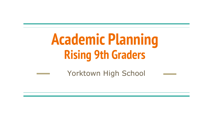# **Academic Planning Rising 9th Graders**

Yorktown High School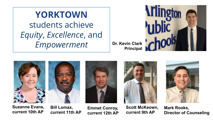**YORKTOWN** students achieve *Equity*, *Excellence*, and *Empowerment*

**Dr. Kevin Clark Principal**











**Scott McKeown, current 9th AP**



**Mark Rooks, Director of Counseling**

**Suzanne Evans, current 10th AP**

**Bill Lomax, current 11th AP**

**Emmet Conroy, current 12th AP**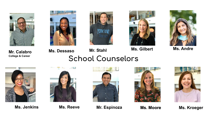









**Ms. Dessaso Mr. Stahl Ms. Gilbert Ms. Andre**

**Mr. Calabro College & Career**

#### **School Counselors**



 $\begin{picture}(20,20) \put(0,0){\line(1,0){10}} \put(10,0){\line(1,0){10}} \put(10,0){\line(1,0){10}} \put(10,0){\line(1,0){10}} \put(10,0){\line(1,0){10}} \put(10,0){\line(1,0){10}} \put(10,0){\line(1,0){10}} \put(10,0){\line(1,0){10}} \put(10,0){\line(1,0){10}} \put(10,0){\line(1,0){10}} \put(10,0){\line(1,0){10}} \put(10,0){\line(1$ 



**Ms. Jenkins Ms. Reeve Mr. Espinoza Ms. Moore Ms. Kroeger**



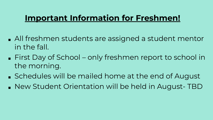#### **Important Information for Freshmen!**

- All freshmen students are assigned a student mentor in the fall.
- First Day of School only freshmen report to school in the morning.
- Schedules will be mailed home at the end of August
- New Student Orientation will be held in August- TBD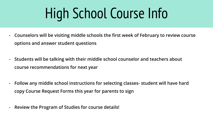# High School Course Info

- **- Counselors will be visiting middle schools the first week of February to review course options and answer student questions**
- **- Students will be talking with their middle school counselor and teachers about course recommendations for next year**
- **- Follow any middle school instructions for selecting classes- student will have hard copy Course Request Forms this year for parents to sign**
- **- Review the Program of Studies for course details!**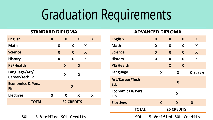# Graduation Requirements

#### **STANDARD DIPLOMA**

| <b>English</b>                       | X |   | X                 |   | $\boldsymbol{X}$ |   | X |
|--------------------------------------|---|---|-------------------|---|------------------|---|---|
| <b>Math</b>                          |   | X |                   | X |                  | X |   |
| <b>Science</b>                       |   | X |                   | X |                  | X |   |
| <b>History</b>                       |   | X |                   | X |                  | X |   |
| <b>PE/Health</b>                     |   |   | X                 |   | X                |   |   |
| Language/Art/<br>Career/Tech Ed.     |   |   | X                 |   | X                |   |   |
| <b>Economics &amp; Pers.</b><br>Fin. |   |   |                   | X |                  |   |   |
| <b>Electives</b>                     | X |   | X                 |   | X                |   | X |
| <b>TOTAL</b>                         |   |   | <b>22 CREDITS</b> |   |                  |   |   |

| SOL - 5 Verified SOL Credits |  |
|------------------------------|--|
|------------------------------|--|

| ADVANCLD DIFLONIA                    |   |   |                   |                |
|--------------------------------------|---|---|-------------------|----------------|
| <b>English</b>                       | X | X | X                 | X              |
| <b>Math</b>                          | X | X | X                 | X              |
| <b>Science</b>                       | X | X | X                 | X              |
| <b>History</b>                       | X | X | X                 | X              |
| <b>PE/Health</b>                     |   | X | X                 |                |
| Language                             | X |   | X                 | $X$ (or 2 + 2) |
| Art/Career/Tech<br>Ed.               |   |   | X                 |                |
| <b>Economics &amp; Pers.</b><br>Fin. |   |   | X                 |                |
| <b>Electives</b>                     | X |   | X                 | X              |
| <b>TOTAL</b>                         |   |   | <b>26 CREDITS</b> |                |

**ADVANCED DIPLOMA**

**SOL – 5 Verified SOL Credits SOL – 5 Verified SOL Credits**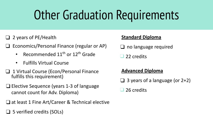### Other Graduation Requirements

- ❑ 2 years of PE/Health
- ❑ Economics/Personal Finance (regular or AP)
	- Recommended  $11<sup>th</sup>$  or  $12<sup>th</sup>$  Grade
	- Fulfills Virtual Course
- ❑ 1 Virtual Course (Econ/Personal Finance fulfills this requirement)
- ❑ Elective Sequence (years 1-3 of language cannot count for Adv. Diploma)
- ❑ at least 1 Fine Art/Career & Technical elective
- ❑ 5 verified credits (SOLs)

#### **Standard Diploma**

❑ no language required

❑ 22 credits

#### **Advanced Diploma**

 $\Box$  3 years of a language (or 2+2)

❑ 26 credits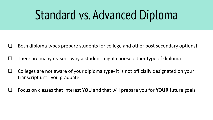### Standard vs. Advanced Diploma

- ❏ Both diploma types prepare students for college and other post secondary options!
- ❏ There are many reasons why a student might choose either type of diploma
- ❏ Colleges are not aware of your diploma type- it is not officially designated on your transcript until you graduate
- ❏ Focus on classes that interest **YOU** and that will prepare you for **YOUR** future goals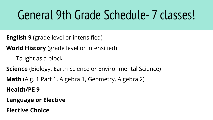### General 9th Grade Schedule- 7 classes!

**English 9** (grade level or intensified)

**World History** (grade level or intensified)

-Taught as a block

**Science** (Biology, Earth Science or Environmental Science)

**Math** (Alg. 1 Part 1, Algebra 1, Geometry, Algebra 2)

**Health/PE 9**

**Language or Elective**

**Elective Choice**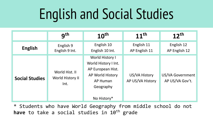# English and Social Studies

|                       | gth                                        | $10^{\text{th}}$                                                                                                                | 11 <sup>th</sup>                  | 12 <sup>th</sup>                    |
|-----------------------|--------------------------------------------|---------------------------------------------------------------------------------------------------------------------------------|-----------------------------------|-------------------------------------|
| <b>English</b>        | English 9<br>English 9 Int.                | English 10<br>English 10 Int.                                                                                                   | English 11<br>AP English 11       | English 12<br>AP English 12         |
| <b>Social Studies</b> | World Hist. II<br>World History II<br>Int. | World History I<br>World History I Int.<br>AP European Hist.<br>AP World History<br><b>AP Human</b><br>Geography<br>No History* | US/VA History<br>AP US/VA History | US/VA Government<br>AP US/VA Gov't. |

\* Students who have World Geography from middle school do not have to take a social studies in 10<sup>th</sup> grade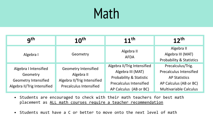## Math

| gth                                                                                             | $10^{\text{th}}$                                                                                           | $11^{th}$                                                                                                                                          | 12 <sup>th</sup>                                                                                                                       |
|-------------------------------------------------------------------------------------------------|------------------------------------------------------------------------------------------------------------|----------------------------------------------------------------------------------------------------------------------------------------------------|----------------------------------------------------------------------------------------------------------------------------------------|
| Algebra I                                                                                       | Geometry                                                                                                   | Algebra II<br><b>AFDA</b>                                                                                                                          | Algebra II<br>Algebra III (MAT)<br><b>Probability &amp; Statistics</b>                                                                 |
| Algebra I Intensified<br>Geometry<br><b>Geometry Intensified</b><br>Algebra II/Trig Intensified | <b>Geometry Intensified</b><br>Algebra II<br>Algebra II/Trig Intensified<br><b>Precalculus Intensified</b> | Algebra II/Trig Intensified<br>Algebra III (MAT)<br><b>Probability &amp; Statistic</b><br><b>Precalculus Intensified</b><br>AP Calculus (AB or BC) | Precalculus/Trig.<br><b>Precalculus Intensified</b><br><b>AP Statistics</b><br>AP Calculus (AB or BC)<br><b>Multivariable Calculus</b> |

- Students are encouraged to check with their math teachers for best math placement as ALL math courses require a teacher recommendation
- Students must have a C or better to move onto the next level of math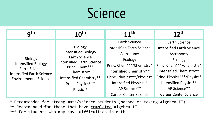# Science

| gth                                                                                                                                      | 10 <sup>th</sup>                                                                                                                                                                                     | 11 <sup>th</sup>                                                                                                                                                                                                                                | 12 <sup>th</sup>                                                                                                                                                                                                                                |
|------------------------------------------------------------------------------------------------------------------------------------------|------------------------------------------------------------------------------------------------------------------------------------------------------------------------------------------------------|-------------------------------------------------------------------------------------------------------------------------------------------------------------------------------------------------------------------------------------------------|-------------------------------------------------------------------------------------------------------------------------------------------------------------------------------------------------------------------------------------------------|
| <b>Biology</b><br><b>Intensified Biology</b><br><b>Earth Science</b><br><b>Intensified Earth Science</b><br><b>Environmental Science</b> | <b>Biology</b><br><b>Intensified Biology</b><br><b>Earth Science</b><br><b>Intensified Earth Science</b><br>Princ. Chem***<br>Chemistry*<br>Intensified Chemistry**<br>Princ. Physics***<br>Physics* | <b>Earth Science</b><br><b>Intensified Earth Science</b><br>Astronomy<br>Ecology<br>Princ. Chem***/Chemistry*<br>Intensified Chemistry**<br>Princ. Physics***/Physics*<br>Intensified Physics**<br>AP Science**<br><b>Career Center Science</b> | <b>Earth Science</b><br><b>Intensified Earth Science</b><br>Astronomy<br>Ecology<br>Princ. Chem***/Chemistry*<br>Intensified Chemistry**<br>Princ. Physics***/Physics*<br>Intensified Physics**<br>AP Science**<br><b>Career Center Science</b> |

\* Recommended for strong math/science students (passed or taking Algebra II) \*\* Recommended for those that have completed Algebra II \*\*\* For students who may have difficulties in math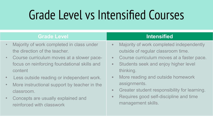#### Grade Level vs Intensified Courses

|             | <b>Grade Level</b>                                                                                   |                          | <b>Intensified</b>                                                                             |
|-------------|------------------------------------------------------------------------------------------------------|--------------------------|------------------------------------------------------------------------------------------------|
| $\bullet$   | Majority of work completed in class under<br>the direction of the teacher.                           | $\bullet$                | Majority of work completed independently<br>outside of regular classroom time.                 |
| $\bullet$ . | Course curriculum moves at a slower pace-<br>focus on reinforcing foundational skills and<br>content | $\bullet$ .<br>$\bullet$ | Course curriculum moves at a faster pace.<br>Students seek and enjoy higher level<br>thinking. |
|             | Less outside reading or independent work.                                                            | $\bullet$                | More reading and outside homework                                                              |
| $\bullet$   | More instructional support by teacher in the<br>classroom.                                           | $\bullet$                | assignments.<br>Greater student responsibility for learning.                                   |

• Concepts are usually explained and reinforced with classwork

• Requires good self-discipline and time management skills.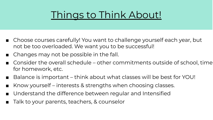#### Things to Think About!

- Choose courses carefully! You want to challenge yourself each year, but not be too overloaded. We want you to be successful!
- Changes may not be possible in the fall.
- Consider the overall schedule other commitments outside of school, time for homework, etc.
- Balance is important think about what classes will be best for YOU!
- Know yourself interests & strengths when choosing classes.
- Understand the difference between regular and Intensified
- Talk to your parents, teachers, & counselor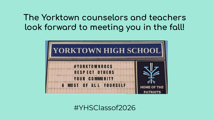#### **The Yorktown counselors and teachers**  look forward to meeting you in the fall!



#YHSClassof2026